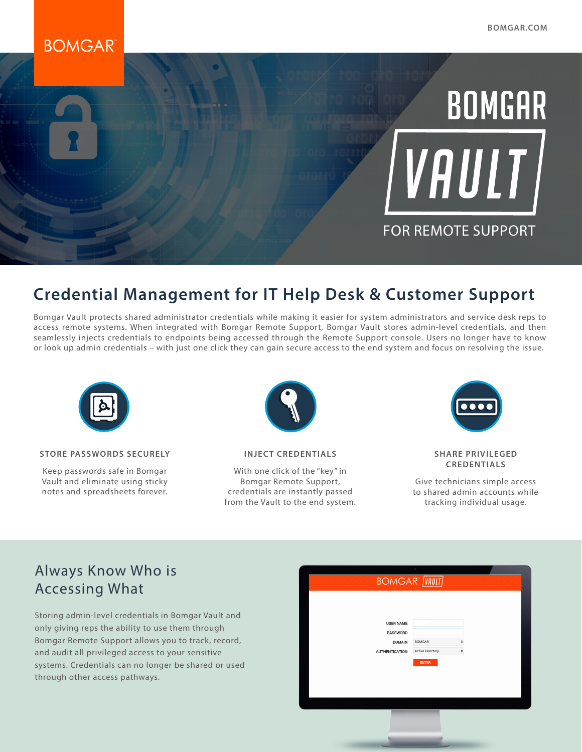# **BOMGAR**



# **Credential Management for IT Help Desk & Customer Support**

Bomgar Vault protects shared administrator credentials while making it easier for system administrators and service desk reps to access remote systems. When integrated with Bomgar Remote Support, Bomgar Vault stores admin-level credentials, and then seamlessly injects credentials to endpoints being accessed through the Remote Support console. Users no longer have to know or look up admin credentials – with just one click they can gain secure access to the end system and focus on resolving the issue.



#### **STORE PASSWORDS SECURELY**

Keep passwords safe in Bomgar Vault and eliminate using sticky notes and spreadsheets forever.



**INJECT CREDENTIALS**

With one click of the "key" in Bomgar Remote Support, credentials are instantly passed from the Vault to the end system.



#### **SHARE PRIVILEGED CREDENTIALS**

Give technicians simple access to shared admin accounts while tracking individual usage.

### Always Know Who is Accessing What

Storing admin-level credentials in Bomgar Vault and only giving reps the ability to use them through Bomgar Remote Support allows you to track, record, and audit all privileged access to your sensitive systems. Credentials can no longer be shared or used through other access pathways.

| <b>BOMGAR<sup>®</sup></b> [VAULT]                  |                                   |                         |  |
|----------------------------------------------------|-----------------------------------|-------------------------|--|
| <b>USER NAME</b>                                   |                                   |                         |  |
| PASSWORD<br><b>DOMAIN</b><br><b>AUTHENTICATION</b> | <b>BOMGAR</b><br>Active Directory | ÷<br>$\hat{\mathbf{v}}$ |  |
|                                                    | <b>ENTER</b>                      |                         |  |
|                                                    |                                   |                         |  |
|                                                    |                                   |                         |  |